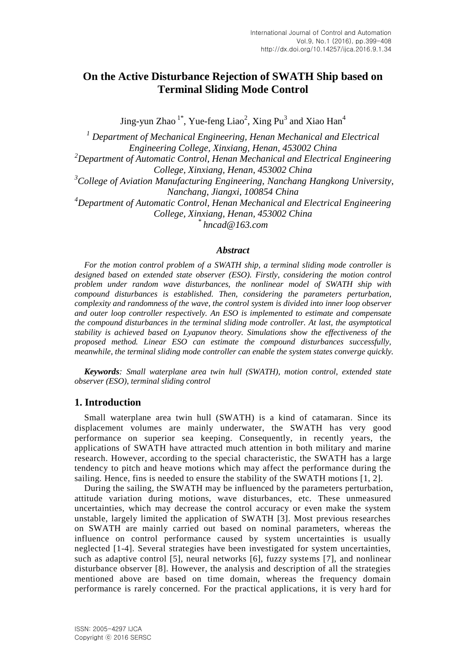# **On the Active Disturbance Rejection of SWATH Ship based on Terminal Sliding Mode Control**

Jing-yun Zhao<sup>1\*</sup>, Yue-feng Liao<sup>2</sup>, Xing Pu<sup>3</sup> and Xiao Han<sup>4</sup>

*<sup>1</sup> Department of Mechanical Engineering, Henan Mechanical and Electrical Engineering College, Xinxiang, Henan, 453002 China <sup>2</sup>Department of Automatic Control, Henan Mechanical and Electrical Engineering College, Xinxiang, Henan, 453002 China <sup>3</sup>College of Aviation Manufacturing Engineering, Nanchang Hangkong University, Nanchang, Jiangxi, 100854 China <sup>4</sup>Department of Automatic Control, Henan Mechanical and Electrical Engineering College, Xinxiang, Henan, 453002 China \* hncad@163.com*

### *Abstract*

*For the motion control problem of a SWATH ship, a terminal sliding mode controller is designed based on extended state observer (ESO). Firstly, considering the motion control problem under random wave disturbances, the nonlinear model of SWATH ship with compound disturbances is established. Then, considering the parameters perturbation, complexity and randomness of the wave, the control system is divided into inner loop observer and outer loop controller respectively. An ESO is implemented to estimate and compensate the compound disturbances in the terminal sliding mode controller. At last, the asymptotical stability is achieved based on Lyapunov theory. Simulations show the effectiveness of the proposed method. Linear ESO can estimate the compound disturbances successfully, meanwhile, the terminal sliding mode controller can enable the system states converge quickly.*

*Keywords: Small waterplane area twin hull (SWATH), motion control, extended state observer (ESO), terminal sliding control*

## **1. Introduction**

Small waterplane area twin hull (SWATH) is a kind of catamaran. Since its displacement volumes are mainly underwater, the SWATH has very good performance on superior sea keeping. Consequently, in recently years, the applications of SWATH have attracted much attention in both military and marine research. However, according to the special characteristic, the SWATH has a large tendency to pitch and heave motions which may affect the performance during the sailing. Hence, fins is needed to ensure the stability of the SWATH motions [1, 2].

During the sailing, the SWATH may be influenced by the parameters perturbation, attitude variation during motions, wave disturbances, etc. These unmeasured uncertainties, which may decrease the control accuracy or even make the system unstable, largely limited the application of SWATH [3]. Most previous researches on SWATH are mainly carried out based on nominal parameters, whereas the influence on control performance caused by system uncertainties is usually neglected [1-4]. Several strategies have been investigated for system uncertainties, such as adaptive control [5], neural networks [6], fuzzy systems [7], and nonlinear disturbance observer [8]. However, the analysis and description of all the strategies mentioned above are based on time domain, whereas the frequency domain performance is rarely concerned. For the practical applications, it is very hard for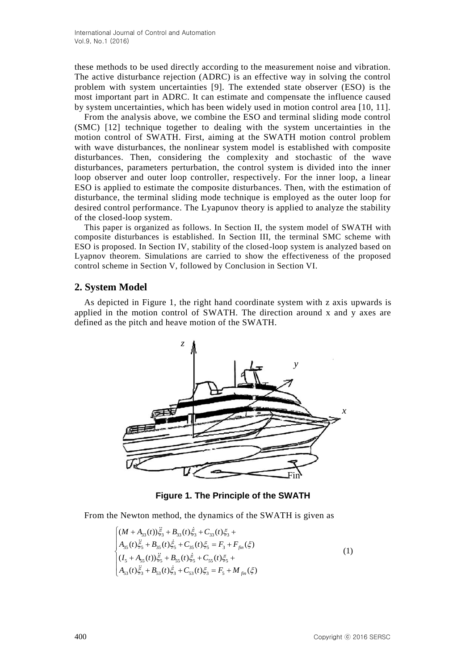these methods to be used directly according to the measurement noise and vibration. The active disturbance rejection (ADRC) is an effective way in solving the control problem with system uncertainties [9]. The extended state observer (ESO) is the most important part in ADRC. It can estimate and compensate the influence caused by system uncertainties, which has been widely used in motion control area [10, 11].

From the analysis above, we combine the ESO and terminal sliding mode control (SMC) [12] technique together to dealing with the system uncertainties in the motion control of SWATH. First, aiming at the SWATH motion control problem with wave disturbances, the nonlinear system model is established with composite disturbances. Then, considering the complexity and stochastic of the wave disturbances, parameters perturbation, the control system is divided into the inner loop observer and outer loop controller, respectively. For the inner loop, a linear ESO is applied to estimate the composite disturbances. Then, with the estimation of disturbance, the terminal sliding mode technique is employed as the outer loop for desired control performance. The Lyapunov theory is applied to analyze the stability of the closed-loop system.

This paper is organized as follows. In Section II, the system model of SWATH with composite disturbances is established. In Section III, the terminal SMC scheme with ESO is proposed. In Section IV, stability of the closed-loop system is analyzed based on Lyapnov theorem. Simulations are carried to show the effectiveness of the proposed control scheme in Section V, followed by Conclusion in Section VI.

## **2. System Model**

As depicted in Figure 1, the right hand coordinate system with z axis upwards is applied in the motion control of SWATH. The direction around x and y axes are defined as the pitch and heave motion of the SWATH.



**Figure 1. The Principle of the SWATH**

From the Newton method, the dynamics of the SWATH is given as

$$
\begin{cases}\n(M + A_{33}(t))\ddot{\xi}_{3} + B_{33}(t)\dot{\xi}_{3} + C_{33}(t)\xi_{3} + \\
A_{35}(t)\ddot{\xi}_{5} + B_{35}(t)\dot{\xi}_{5} + C_{35}(t)\xi_{5} = F_{3} + F_{fin}(\xi) \\
(l_{5} + A_{55}(t))\ddot{\xi}_{5} + B_{55}(t)\dot{\xi}_{5} + C_{55}(t)\xi_{5} + \\
A_{33}(t)\ddot{\xi}_{3} + B_{53}(t)\dot{\xi}_{3} + C_{53}(t)\xi_{3} = F_{5} + M_{fin}(\xi)\n\end{cases}
$$
\n(1)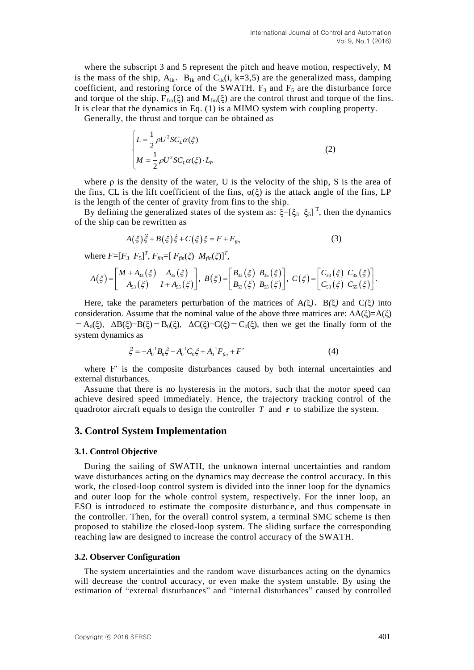where the subscript 3 and 5 represent the pitch and heave motion, respectively, M is the mass of the ship,  $A_{ik}$ ,  $B_{ik}$  and  $C_{ik}(i, k=3.5)$  are the generalized mass, damping coefficient, and restoring force of the SWATH.  $F_3$  and  $F_5$  are the disturbance force and torque of the ship.  $F_{fin}(\xi)$  and  $M_{fin}(\xi)$  are the control thrust and torque of the fins. It is clear that the dynamics in Eq. (1) is a MIMO system with coupling property.

Generally, the thrust and torque can be obtained as

$$
\begin{cases}\nL = \frac{1}{2} \rho U^2 S C_L \alpha(\xi) \\
M = \frac{1}{2} \rho U^2 S C_L \alpha(\xi) \cdot L_p\n\end{cases}
$$
\n(2)

where  $\rho$  is the density of the water, U is the velocity of the ship, S is the area of the fins, CL is the lift coefficient of the fins,  $\alpha(\xi)$  is the attack angle of the fins, LP is the length of the center of gravity from fins to the ship.

By defining the generalized states of the system as:  $\xi = [\xi_3 \xi_5]^T$ , then the dynamics of the ship can be rewritten as

$$
A(\xi)\ddot{\xi} + B(\xi)\dot{\xi} + C(\xi)\xi = F + F_{\text{fin}}\tag{3}
$$

 $W = [F_3 \ F_5]^T, F_{fin} = [F_{fin}(\xi) \ M_{fin}(\xi)]^T$ 

$$
A(\xi) = \begin{bmatrix} M + A_{33}(\xi) & A_{35}(\xi) \\ A_{53}(\xi) & I + A_{55}(\xi) \end{bmatrix}, B(\xi) = \begin{bmatrix} B_{33}(\xi) & B_{35}(\xi) \\ B_{53}(\xi) & B_{55}(\xi) \end{bmatrix}, C(\xi) = \begin{bmatrix} C_{33}(\xi) & C_{35}(\xi) \\ C_{53}(\xi) & C_{55}(\xi) \end{bmatrix}.
$$

Here, take the parameters perturbation of the matrices of A*(*ξ*)*、B*(*ξ*)* and C*(*ξ*)* into consideration. Assume that the nominal value of the above three matrices are:  $\Delta A(\xi) = A(\xi)$  $-A_0(\xi)$ ,  $\Delta B(\xi)=B(\xi)-B_0(\xi)$ ,  $\Delta C(\xi)=C(\xi)-C_0(\xi)$ , then we get the finally form of the system dynamics as

$$
\ddot{\xi} = -A_0^{-1} B_0 \dot{\xi} - A_0^{-1} C_0 \xi + A_0^{-1} F_{fin} + F'
$$
\n(4)

where F' is the composite disturbances caused by both internal uncertainties and external disturbances.

Assume that there is no hysteresis in the motors, such that the motor speed can achieve desired speed immediately. Hence, the trajectory tracking control of the quadrotor aircraft equals to design the controller  $T$  and  $\tau$  to stabilize the system.

#### **3. Control System Implementation**

#### **3.1. Control Objective**

During the sailing of SWATH, the unknown internal uncertainties and random wave disturbances acting on the dynamics may decrease the control accuracy. In this work, the closed-loop control system is divided into the inner loop for the dynamics and outer loop for the whole control system, respectively. For the inner loop, an ESO is introduced to estimate the composite disturbance, and thus compensate in the controller. Then, for the overall control system, a terminal SMC scheme is then proposed to stabilize the closed-loop system. The sliding surface the corresponding reaching law are designed to increase the control accuracy of the SWATH.

#### **3.2. Observer Configuration**

The system uncertainties and the random wave disturbances acting on the dynamics will decrease the control accuracy, or even make the system unstable. By using the estimation of "external disturbances" and "internal disturbances" caused by controlled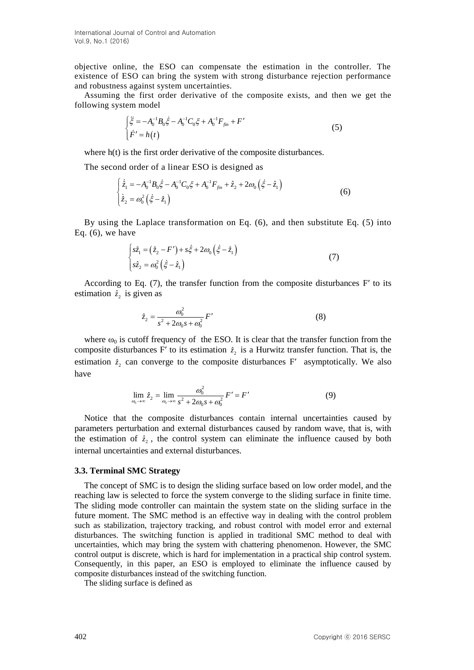objective online, the ESO can compensate the estimation in the controller. The existence of ESO can bring the system with strong disturbance rejection performance and robustness against system uncertainties.

Assuming the first order derivative of the composite exists, and then we get the following system model

$$
\begin{cases}\n\ddot{\xi} = -A_0^{-1}B_0 \dot{\xi} - A_0^{-1}C_0 \xi + A_0^{-1}F_{fin} + F'\n\end{cases}
$$
\n(5)

where h(t) is the first order derivative of the composite disturbances.

The second order of a linear ESO is designed as  
\n
$$
\begin{cases}\n\dot{\tilde{z}}_1 = -A_0^{-1} B_0 \dot{\tilde{\xi}} - A_0^{-1} C_0 \xi + A_0^{-1} F_{fin} + \hat{z}_2 + 2\omega_0 (\dot{\tilde{\xi}} - \hat{z}_1) \\
\dot{\tilde{z}}_2 = \omega_0^2 (\dot{\tilde{\xi}} - \hat{z}_1)\n\end{cases}
$$
\n(6)

By using the Laplace transformation on Eq. (6), and then substitute Eq. (5) into Eq.  $(6)$ , we have

$$
\begin{cases}\ns\hat{z}_1 = (\hat{z}_2 - F') + s\hat{\xi} + 2\omega_0 (\hat{\xi} - \hat{z}_1) \\
s\hat{z}_2 = \omega_0^2 (\hat{\xi} - \hat{z}_1)\n\end{cases}
$$
\n(7)

According to Eq.  $(7)$ , the transfer function from the composite disturbances F' to its estimation  $\hat{z}_2$  is given as

$$
\hat{z}_2 = \frac{\omega_0^2}{s^2 + 2\omega_0 s + \omega_0^2} F'
$$
 (8)

where  $\omega_0$  is cutoff frequency of the ESO. It is clear that the transfer function from the composite disturbances F' to its estimation  $\hat{z}_2$  is a Hurwitz transfer function. That is, the estimation  $\hat{z}_2$  can converge to the composite disturbances F' asymptotically. We also have

$$
\lim_{\omega_0 \to \infty} \hat{z}_2 = \lim_{\omega_0 \to \infty} \frac{\omega_0^2}{s^2 + 2\omega_0 s + \omega_0^2} F' = F'
$$
\n(9)

Notice that the composite disturbances contain internal uncertainties caused by parameters perturbation and external disturbances caused by random wave, that is, with the estimation of  $\hat{z}_2$ , the control system can eliminate the influence caused by both internal uncertainties and external disturbances.

#### **3.3. Terminal SMC Strategy**

The concept of SMC is to design the sliding surface based on low order model, and the reaching law is selected to force the system converge to the sliding surface in finite time. The sliding mode controller can maintain the system state on the sliding surface in the future moment. The SMC method is an effective way in dealing with the control problem such as stabilization, trajectory tracking, and robust control with model error and external disturbances. The switching function is applied in traditional SMC method to deal with uncertainties, which may bring the system with chattering phenomenon. However, the SMC control output is discrete, which is hard for implementation in a practical ship control system. Consequently, in this paper, an ESO is employed to eliminate the influence caused by composite disturbances instead of the switching function.

The sliding surface is defined as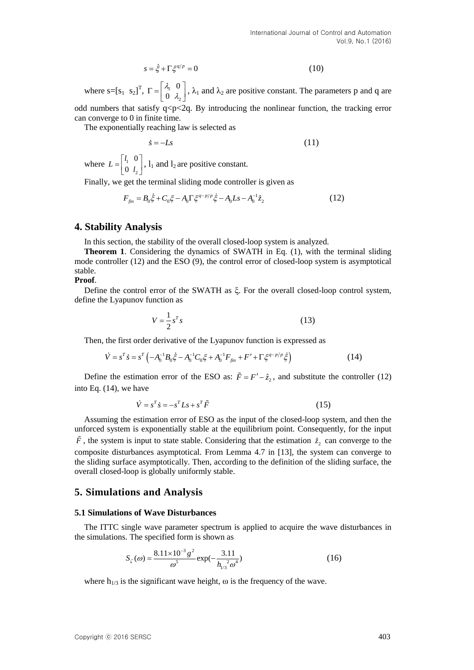$$
s = \dot{\xi} + \Gamma \xi^{q/p} = 0 \tag{10}
$$

where  $s=[s_1 \ s_2]^T$ ,  $\Gamma = \begin{bmatrix} \lambda_1 \\ 0 \end{bmatrix}$ 2 0 0 λ  $\Gamma = \begin{bmatrix} \lambda_1 & 0 \\ 0 & \lambda_2 \end{bmatrix}$ ,  $\lambda_1$  and  $\lambda_2$  are positive constant. The parameters p and q are odd numbers that satisfy  $q < p < 2q$ . By introducing the nonlinear function, the tracking error

can converge to 0 in finite time.

The exponentially reaching law is selected as

$$
\dot{s} = -Ls \tag{11}
$$

where  $L = \begin{pmatrix} t_1 \\ 0 \end{pmatrix}$ 2 0 0  $L = \begin{vmatrix} l_1 & 0 \\ 0 & l \end{vmatrix}$  $=\begin{bmatrix} l_1 & 0 \\ 0 & l_2 \end{bmatrix}$ ,  $l_1$  and  $l_2$  are positive constant.

Finally, we get the terminal sliding mode controller is given as  
\n
$$
F_{fin} = B_0 \dot{\xi} + C_0 \xi - A_0 \Gamma \xi^{q-p/p} \dot{\xi} - A_0 L s - A_0^{-1} \hat{z}_2
$$
\n(12)

#### **4. Stability Analysis**

In this section, the stability of the overall closed-loop system is analyzed.

**Theorem 1**. Considering the dynamics of SWATH in Eq. (1), with the terminal sliding mode controller (12) and the ESO (9), the control error of closed-loop system is asymptotical stable.

#### **Proof**.

Define the control error of the SWATH as  $\xi$ . For the overall closed-loop control system, define the Lyapunov function as

$$
V = \frac{1}{2} s^T s \tag{13}
$$

Then, the first order derivative of the Lyapunov function is expressed as  
\n
$$
\dot{V} = s^T \dot{s} = s^T \left( -A_0^{-1} B_0 \dot{\xi} - A_0^{-1} C_0 \xi + A_0^{-1} F_{\text{fin}} + F' + \Gamma \xi^{\text{q-p/p}} \dot{\xi} \right)
$$
\n(14)

Define the estimation error of the ESO as:  $\tilde{F} = F' - \hat{z}_2$ , and substitute the controller (12) into Eq. (14), we have

$$
\dot{V} = s^T \dot{s} = -s^T L s + s^T \tilde{F}
$$
\n(15)

vbleve s=f+, s- $\Gamma^2 = \zeta + \Gamma^2 \zeta^{-1}$  and  $\lambda$ , and  $\lambda$ , are positive curvatar. The parameters p and q and<br>cold numbers that satisfy  $\Gamma = \begin{pmatrix} \lambda & 0 \\ 0 & \lambda \end{pmatrix}$ ,  $\lambda$ , and  $\lambda$ , are positive curvatar. The parameters p an Assuming the estimation error of ESO as the input of the closed-loop system, and then the unforced system is exponentially stable at the equilibrium point. Consequently, for the input  $\tilde{F}$ , the system is input to state stable. Considering that the estimation  $\hat{z}_2$  can converge to the composite disturbances asymptotical. From Lemma 4.7 in [13], the system can converge to the sliding surface asymptotically. Then, according to the definition of the sliding surface, the overall closed-loop is globally uniformly stable.

### **5. Simulations and Analysis**

#### **5.1 Simulations of Wave Disturbances**

The ITTC single wave parameter spectrum is applied to acquire the wave disturbances in the simulations. The specified form is shown as

$$
S_{\zeta}(\omega) = \frac{8.11 \times 10^{-3} g^2}{\omega^5} \exp(-\frac{3.11}{h_{1/3}^2 \omega^4})
$$
 (16)

where  $h_{1/3}$  is the significant wave height,  $\omega$  is the frequency of the wave.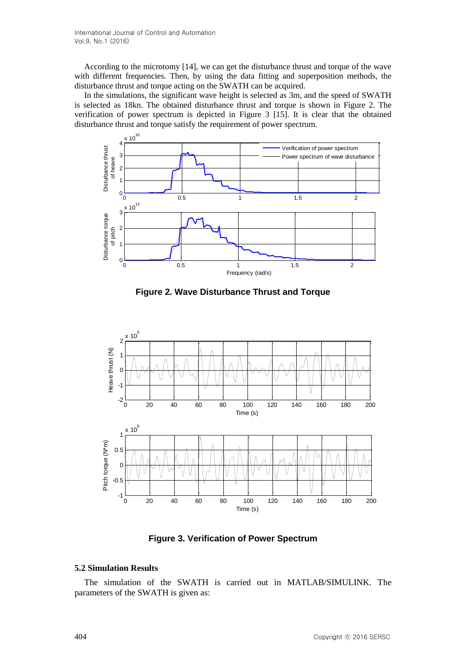According to the microtomy [14], we can get the disturbance thrust and torque of the wave with different frequencies. Then, by using the data fitting and superposition methods, the disturbance thrust and torque acting on the SWATH can be acquired.

In the simulations, the significant wave height is selected as 3m, and the speed of SWATH is selected as 18kn. The obtained disturbance thrust and torque is shown in Figure 2. The verification of power spectrum is depicted in Figure 3 [15]. It is clear that the obtained disturbance thrust and torque satisfy the requirement of power spectrum.



**Figure 2. Wave Disturbance Thrust and Torque**



**Figure 3. Verification of Power Spectrum**

## **5.2 Simulation Results**

The simulation of the SWATH is carried out in MATLAB/SIMULINK. The parameters of the SWATH is given as: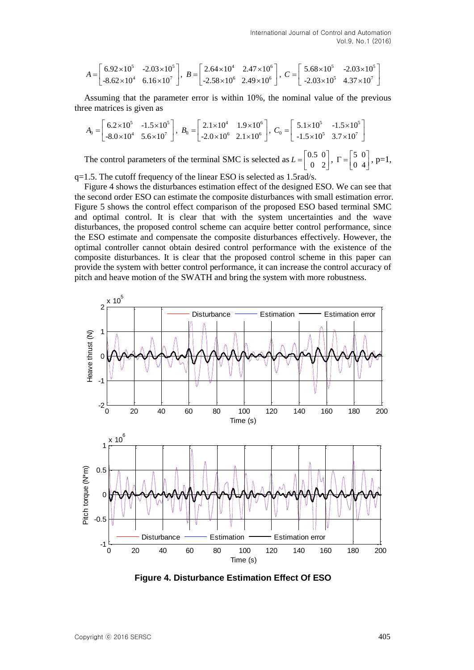$$
A = \begin{bmatrix} 6.92 \times 10^5 & -2.03 \times 10^5 \\ -8.62 \times 10^4 & 6.16 \times 10^7 \end{bmatrix}, B = \begin{bmatrix} 2.64 \times 10^4 & 2.47 \times 10^6 \\ -2.58 \times 10^6 & 2.49 \times 10^6 \end{bmatrix}, C = \begin{bmatrix} 5.68 \times 10^5 & -2.03 \times 10^5 \\ -2.03 \times 10^5 & 4.37 \times 10^7 \end{bmatrix}
$$

Assuming that the parameter error is within 10%, the nominal value of the previous three matrices is given as

$$
A_0 = \begin{bmatrix} 6.2 \times 10^5 & -1.5 \times 10^5 \\ -8.0 \times 10^4 & 5.6 \times 10^7 \end{bmatrix}, \ B_0 = \begin{bmatrix} 2.1 \times 10^4 & 1.9 \times 10^6 \\ -2.0 \times 10^6 & 2.1 \times 10^6 \end{bmatrix}, \ C_0 = \begin{bmatrix} 5.1 \times 10^5 & -1.5 \times 10^5 \\ -1.5 \times 10^5 & 3.7 \times 10^7 \end{bmatrix}
$$

The control parameters of the terminal SMC is selected as  $L = \begin{bmatrix} 0.5 & 0 \\ 0 & 2 \end{bmatrix}$ ,  $\Gamma = \begin{bmatrix} 5 & 0 \\ 0 & 4 \end{bmatrix}$  $\Gamma = \begin{bmatrix} 5 & 0 \\ 0 & 4 \end{bmatrix}, p=1,$ 

q=1.5. The cutoff frequency of the linear ESO is selected as 1.5rad/s.

Figure 4 shows the disturbances estimation effect of the designed ESO. We can see that the second order ESO can estimate the composite disturbances with small estimation error. Figure 5 shows the control effect comparison of the proposed ESO based terminal SMC and optimal control. It is clear that with the system uncertainties and the wave disturbances, the proposed control scheme can acquire better control performance, since the ESO estimate and compensate the composite disturbances effectively. However, the optimal controller cannot obtain desired control performance with the existence of the composite disturbances. It is clear that the proposed control scheme in this paper can provide the system with better control performance, it can increase the control accuracy of pitch and heave motion of the SWATH and bring the system with more robustness.



**Figure 4. Disturbance Estimation Effect Of ESO**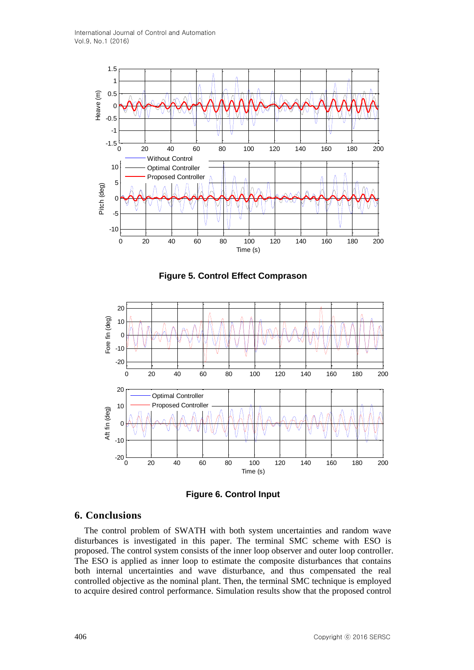

**Figure 5. Control Effect Comprason**





## **6. Conclusions**

The control problem of SWATH with both system uncertainties and random wave disturbances is investigated in this paper. The terminal SMC scheme with ESO is proposed. The control system consists of the inner loop observer and outer loop controller. The ESO is applied as inner loop to estimate the composite disturbances that contains both internal uncertainties and wave disturbance, and thus compensated the real controlled objective as the nominal plant. Then, the terminal SMC technique is employed to acquire desired control performance. Simulation results show that the proposed control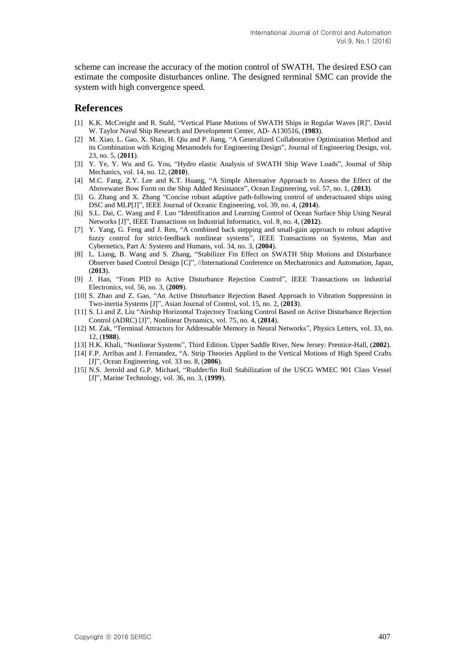scheme can increase the accuracy of the motion control of SWATH. The desired ESO can estimate the composite disturbances online. The designed terminal SMC can provide the system with high convergence speed.

## **References**

- [1] K.K. McCreight and R. Stahl, "Vertical Plane Motions of SWATH Ships in Regular Waves [R]", David W. Taylor Naval Ship Research and Development Center, AD- A130516, (**1983**).
- [2] M. Xiao, L. Gao, X. Shao, H. Qiu and P. Jiang, "A Generalized Collaborative Optimization Method and its Combination with Kriging Metamodels for Engineering Design", Journal of Engineering Design, vol. 23, no. 5, (**2011**).
- [3] Y. Ye, Y. Wu and G. You, "Hydro elastic Analysis of SWATH Ship Wave Loads", Journal of Ship Mechanics, vol. 14, no. 12, (**2010**).
- [4] M.C. Fang, Z.Y. Lee and K.T. Huang, "A Simple Alternative Approach to Assess the Effect of the Abovewater Bow Form on the Ship Added Resistance", Ocean Engineering, vol. 57, no. 1, (**2013**).
- [5] G. Zhang and X. Zhang "Concise robust adaptive path-following control of underactuated ships using DSC and MLP[J]", IEEE Journal of Oceanic Engineering, vol. 39, no. 4, (**2014**).
- [6] S.L. Dai, C. Wang and F. Luo "Identification and Learning Control of Ocean Surface Ship Using Neural Networks [J]", IEEE Transactions on Industrial Informatics, vol. 8, no. 4, (**2012**).
- [7] Y. Yang, G. Feng and J. Ren, "A combined back stepping and small-gain approach to robust adaptive fuzzy control for strict-feedback nonlinear systems", IEEE Transactions on Systems, Man and Cybernetics, Part A: Systems and Humans, vol. 34, no. 3, (**2004**).
- [8] L. Liang, B. Wang and S. Zhang, "Stabilizer Fin Effect on SWATH Ship Motions and Disturbance Observer based Control Design [C]", //International Conference on Mechatronics and Automation, Japan, (**2013**).
- [9] J. Han, "From PID to Active Disturbance Rejection Control", IEEE Transactions on Industrial Electronics, vol. 56, no. 3, (**2009**).
- [10] S. Zhao and Z. Gao, "An Active Disturbance Rejection Based Approach to Vibration Suppression in Two-inertia Systems [J]", Asian Journal of Control, vol. 15, no. 2, (**2013**).
- [11] S. Li and Z. Liu "Airship Horizontal Trajectory Tracking Control Based on Active Disturbance Rejection Control (ADRC) [J]", Nonlinear Dynamics, vol. 75, no. 4, (**2014**).
- [12] M. Zak, "Terminal Attractors for Addressable Memory in Neural Networks", Physics Letters, vol. 33, no. 12, (**1988**).
- [13] H.K. Khali, "Nonlinear Systems", Third Edition. Upper Saddle River, New Jersey: Prentice-Hall, (**2002**).
- [14] F.P. Arribas and J. Fernandez, "A. Strip Theories Applied to the Vertical Motions of High Speed Crafts [J]", Ocean Engineering, vol. 33 no. 8, (**2006**).
- [15] N.S. Jerrold and G.P. Michael, "Rudder/fin Roll Stabilization of the USCG WMEC 901 Class Vessel [J]", Marine Technology, vol. 36, no. 3, (**1999**).